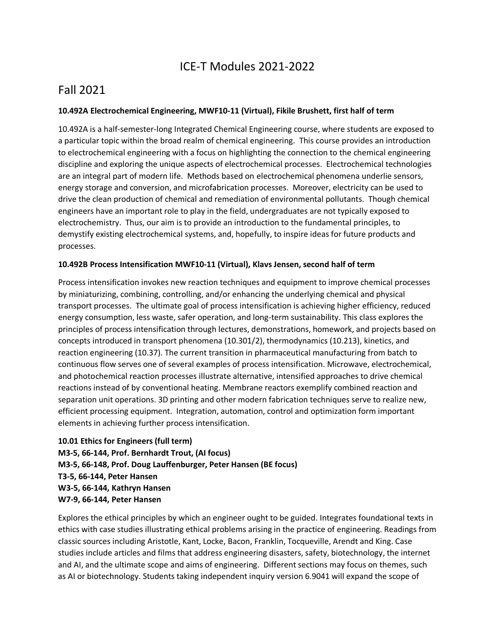## ICE-T Modules 2021-2022

## Fall 2021

#### **10.492A Electrochemical Engineering, MWF10-11 (Virtual), Fikile Brushett, first half of term**

10.492A is a half-semester-long Integrated Chemical Engineering course, where students are exposed to a particular topic within the broad realm of chemical engineering. This course provides an introduction to electrochemical engineering with a focus on highlighting the connection to the chemical engineering discipline and exploring the unique aspects of electrochemical processes. Electrochemical technologies are an integral part of modern life. Methods based on electrochemical phenomena underlie sensors, energy storage and conversion, and microfabrication processes. Moreover, electricity can be used to drive the clean production of chemical and remediation of environmental pollutants. Though chemical engineers have an important role to play in the field, undergraduates are not typically exposed to electrochemistry. Thus, our aim is to provide an introduction to the fundamental principles, to demystify existing electrochemical systems, and, hopefully, to inspire ideas for future products and processes.

#### **10.492B Process Intensification MWF10-11 (Virtual), Klavs Jensen, second half of term**

Process intensification invokes new reaction techniques and equipment to improve chemical processes by miniaturizing, combining, controlling, and/or enhancing the underlying chemical and physical transport processes. The ultimate goal of process intensification is achieving higher efficiency, reduced energy consumption, less waste, safer operation, and long-term sustainability. This class explores the principles of process intensification through lectures, demonstrations, homework, and projects based on concepts introduced in transport phenomena (10.301/2), thermodynamics (10.213), kinetics, and reaction engineering (10.37). The current transition in pharmaceutical manufacturing from batch to continuous flow serves one of several examples of process intensification. Microwave, electrochemical, and photochemical reaction processes illustrate alternative, intensified approaches to drive chemical reactions instead of by conventional heating. Membrane reactors exemplify combined reaction and separation unit operations. 3D printing and other modern fabrication techniques serve to realize new, efficient processing equipment. Integration, automation, control and optimization form important elements in achieving further process intensification.

```
10.01 Ethics for Engineers (full term)
M3-5, 66-144, Prof. Bernhardt Trout, (AI focus)
M3-5, 66-148, Prof. Doug Lauffenburger, Peter Hansen (BE focus)
T3-5, 66-144, Peter Hansen 
W3-5, 66-144, Kathryn Hansen
W7-9, 66-144, Peter Hansen
```
Explores the ethical principles by which an engineer ought to be guided. Integrates foundational texts in ethics with case studies illustrating ethical problems arising in the practice of engineering. Readings from classic sources including Aristotle, Kant, Locke, Bacon, Franklin, Tocqueville, Arendt and King. Case studies include articles and films that address engineering disasters, safety, biotechnology, the internet and AI, and the ultimate scope and aims of engineering. Different sections may focus on themes, such as AI or biotechnology. Students taking independent inquiry version 6.9041 will expand the scope of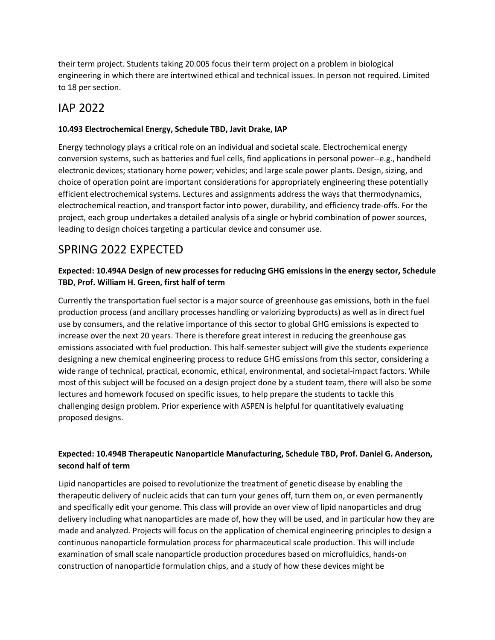their term project. Students taking 20.005 focus their term project on a problem in biological engineering in which there are intertwined ethical and technical issues. In person not required. Limited to 18 per section.

## IAP 2022

### **10.493 Electrochemical Energy, Schedule TBD, Javit Drake, IAP**

Energy technology plays a critical role on an individual and societal scale. Electrochemical energy conversion systems, such as batteries and fuel cells, find applications in personal power--e.g., handheld electronic devices; stationary home power; vehicles; and large scale power plants. Design, sizing, and choice of operation point are important considerations for appropriately engineering these potentially efficient electrochemical systems. Lectures and assignments address the ways that thermodynamics, electrochemical reaction, and transport factor into power, durability, and efficiency trade-offs. For the project, each group undertakes a detailed analysis of a single or hybrid combination of power sources, leading to design choices targeting a particular device and consumer use.

# SPRING 2022 EXPECTED

### **Expected: 10.494A Design of new processes for reducing GHG emissions in the energy sector, Schedule TBD, Prof. William H. Green, first half of term**

Currently the transportation fuel sector is a major source of greenhouse gas emissions, both in the fuel production process (and ancillary processes handling or valorizing byproducts) as well as in direct fuel use by consumers, and the relative importance of this sector to global GHG emissions is expected to increase over the next 20 years. There is therefore great interest in reducing the greenhouse gas emissions associated with fuel production. This half-semester subject will give the students experience designing a new chemical engineering process to reduce GHG emissions from this sector, considering a wide range of technical, practical, economic, ethical, environmental, and societal-impact factors. While most of this subject will be focused on a design project done by a student team, there will also be some lectures and homework focused on specific issues, to help prepare the students to tackle this challenging design problem. Prior experience with ASPEN is helpful for quantitatively evaluating proposed designs.

### **Expected: 10.494B Therapeutic Nanoparticle Manufacturing, Schedule TBD, Prof. Daniel G. Anderson, second half of term**

Lipid nanoparticles are poised to revolutionize the treatment of genetic disease by enabling the therapeutic delivery of nucleic acids that can turn your genes off, turn them on, or even permanently and specifically edit your genome. This class will provide an over view of lipid nanoparticles and drug delivery including what nanoparticles are made of, how they will be used, and in particular how they are made and analyzed. Projects will focus on the application of chemical engineering principles to design a continuous nanoparticle formulation process for pharmaceutical scale production. This will include examination of small scale nanoparticle production procedures based on microfluidics, hands-on construction of nanoparticle formulation chips, and a study of how these devices might be